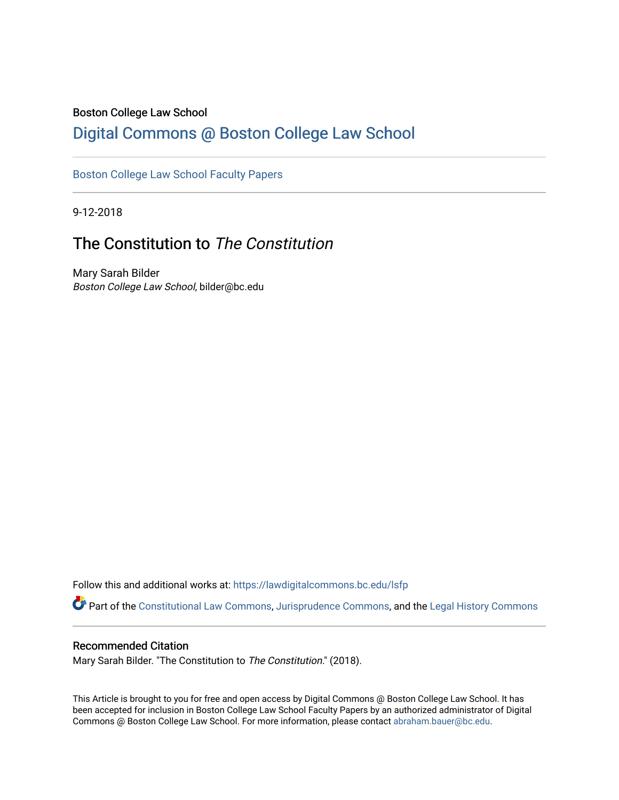### Boston College Law School

## [Digital Commons @ Boston College Law School](https://lawdigitalcommons.bc.edu/)

## [Boston College Law School Faculty Papers](https://lawdigitalcommons.bc.edu/lsfp)

9-12-2018

# The Constitution to The Constitution

Mary Sarah Bilder Boston College Law School, bilder@bc.edu

Follow this and additional works at: [https://lawdigitalcommons.bc.edu/lsfp](https://lawdigitalcommons.bc.edu/lsfp?utm_source=lawdigitalcommons.bc.edu%2Flsfp%2F1181&utm_medium=PDF&utm_campaign=PDFCoverPages) 

Part of the [Constitutional Law Commons,](http://network.bepress.com/hgg/discipline/589?utm_source=lawdigitalcommons.bc.edu%2Flsfp%2F1181&utm_medium=PDF&utm_campaign=PDFCoverPages) [Jurisprudence Commons](http://network.bepress.com/hgg/discipline/610?utm_source=lawdigitalcommons.bc.edu%2Flsfp%2F1181&utm_medium=PDF&utm_campaign=PDFCoverPages), and the [Legal History Commons](http://network.bepress.com/hgg/discipline/904?utm_source=lawdigitalcommons.bc.edu%2Flsfp%2F1181&utm_medium=PDF&utm_campaign=PDFCoverPages)

### Recommended Citation

Mary Sarah Bilder. "The Constitution to The Constitution." (2018).

This Article is brought to you for free and open access by Digital Commons @ Boston College Law School. It has been accepted for inclusion in Boston College Law School Faculty Papers by an authorized administrator of Digital Commons @ Boston College Law School. For more information, please contact [abraham.bauer@bc.edu.](mailto:abraham.bauer@bc.edu)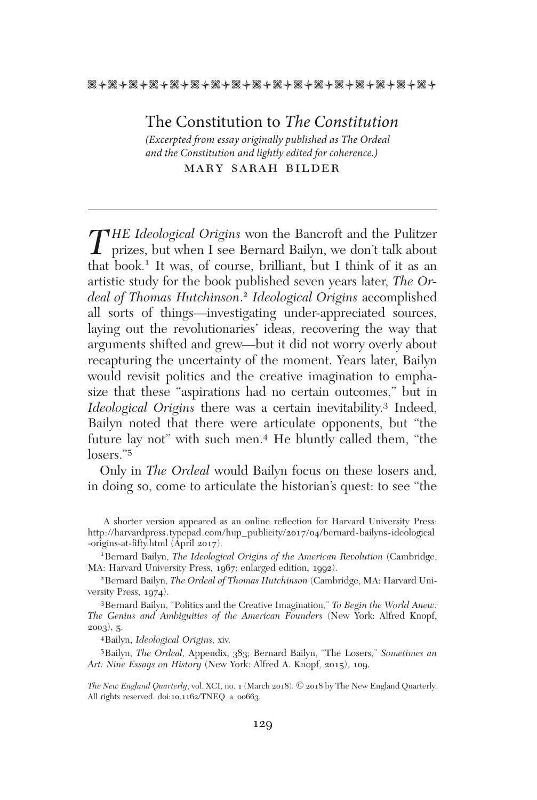#### \*\*\*\*\*\*\*\*\*\*\*\*\*\*\*\*\*\*\*\*\*\*\*\*\*\*\*\*\*\*\*\*\*\*

The Constitution to *The Constitution (Excerpted from essay originally published as The Ordeal and the Constitution and lightly edited for coherence.)*

mary sarah bilder

*THE Ideological Origins* won the Bancroft and the Pulitzer<br>prizes, but when I see Bernard Bailyn, we don't talk about<br>that health I tower of some phillipst heat I think of it as an that book.1 It was, of course, brilliant, but I think of it as an artistic study for the book published seven years later, *The Ordeal of Thomas Hutchinson*. <sup>2</sup> *Ideological Origins* accomplished all sorts of things—investigating under-appreciated sources, laying out the revolutionaries' ideas, recovering the way that arguments shifted and grew—but it did not worry overly about recapturing the uncertainty of the moment. Years later, Bailyn would revisit politics and the creative imagination to emphasize that these "aspirations had no certain outcomes," but in *Ideological Origins* there was a certain inevitability.<sup>3</sup> Indeed, Bailyn noted that there were articulate opponents, but "the future lay not" with such men.4 He bluntly called them, "the losers."5

Only in *The Ordeal* would Bailyn focus on these losers and, in doing so, come to articulate the historian's quest: to see "the

1Bernard Bailyn, *The Ideological Origins of the American Revolution* (Cambridge, MA: Harvard University Press, 1967; enlarged edition, 1992).

2Bernard Bailyn, *The Ordeal of Thomas Hutchinson* (Cambridge, MA: Harvard University Press, 1974).

3Bernard Bailyn, "Politics and the Creative Imagination," *To Begin the World Anew: The Genius and Ambiguities of the American Founders* (New York: Alfred Knopf, 2003), 5.

4Bailyn, *Ideological Origins,* xiv.

5Bailyn, *The Ordeal,* Appendix, 383; Bernard Bailyn, "The Losers," *Sometimes an Art: Nine Essays on History* (New York: Alfred A. Knopf, 2015), 109.

*The New England Quarterly,* vol. XCI, no. 1 (March 2018). © 2018 by The New England Quarterly. All rights reserved. doi:10.1162/TNEQ\_a\_00663.

A shorter version appeared as an online refection for Harvard University Press: http://harvardpress.typepad.com/hup\_publicity/2017/04/bernard-bailyns-ideological -origins-at-fifty.html (April 2017).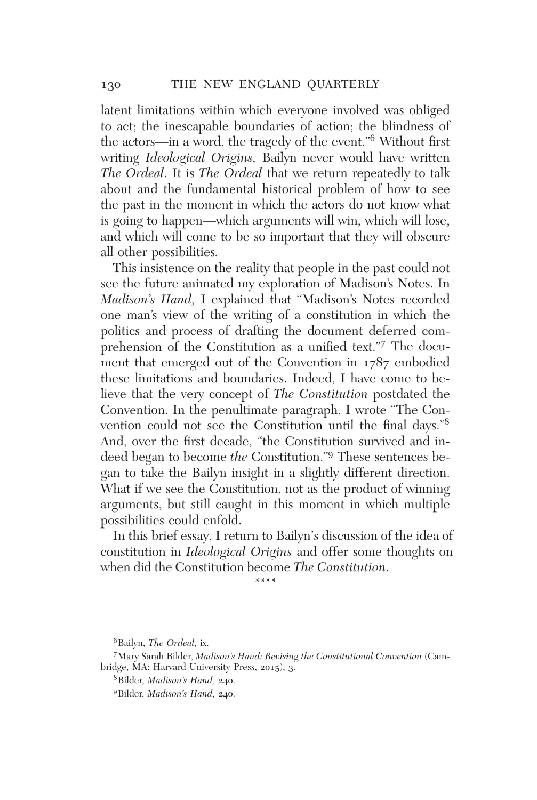latent limitations within which everyone involved was obliged to act; the inescapable boundaries of action; the blindness of the actors—in a word, the tragedy of the event."<sup>6</sup> Without frst writing *Ideological Origins,* Bailyn never would have written *The Ordeal*. It is *The Ordeal* that we return repeatedly to talk about and the fundamental historical problem of how to see the past in the moment in which the actors do not know what is going to happen—which arguments will win, which will lose, and which will come to be so important that they will obscure all other possibilities*.*

This insistence on the reality that people in the past could not see the future animated my exploration of Madison's Notes. In *Madison's Hand,* I explained that "Madison's Notes recorded one man's view of the writing of a constitution in which the politics and process of drafting the document deferred comprehension of the Constitution as a unifed text."7 The document that emerged out of the Convention in 1787 embodied these limitations and boundaries. Indeed, I have come to believe that the very concept of *The Constitution* postdated the Convention. In the penultimate paragraph, I wrote "The Convention could not see the Constitution until the fnal days."<sup>8</sup> And, over the frst decade, "the Constitution survived and indeed began to become *the* Constitution."9 These sentences began to take the Bailyn insight in a slightly different direction. What if we see the Constitution, not as the product of winning arguments, but still caught in this moment in which multiple possibilities could enfold.

In this brief essay, I return to Bailyn's discussion of the idea of constitution in *Ideological Origins* and offer some thoughts on when did the Constitution become *The Constitution*.

\*\*\*\*

<sup>6</sup>Bailyn, *The Ordeal,* ix.

<sup>7</sup>Mary Sarah Bilder, *Madison's Hand: Revising the Constitutional Convention* (Cambridge, MA: Harvard University Press, 2015), 3.

<sup>8</sup>Bilder, *Madison's Hand,* 240.

<sup>9</sup>Bilder, *Madison's Hand,* 240.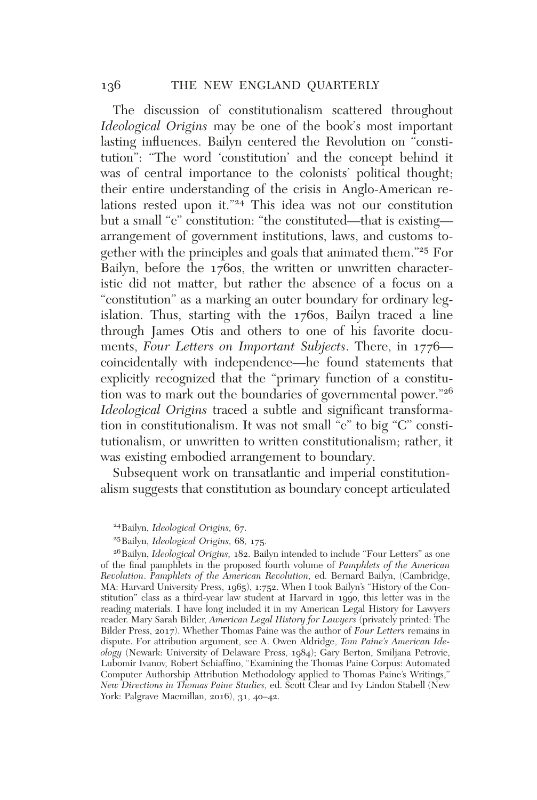The discussion of constitutionalism scattered throughout *Ideological Origins* may be one of the book's most important lasting infuences. Bailyn centered the Revolution on "constitution": "The word 'constitution' and the concept behind it was of central importance to the colonists' political thought; their entire understanding of the crisis in Anglo-American relations rested upon it."<sup>24</sup> This idea was not our constitution but a small "c" constitution: "the constituted—that is existing arrangement of government institutions, laws, and customs together with the principles and goals that animated them."<sup>25</sup> For Bailyn, before the 1760s, the written or unwritten characteristic did not matter, but rather the absence of a focus on a "constitution" as a marking an outer boundary for ordinary legislation. Thus, starting with the 1760s, Bailyn traced a line through James Otis and others to one of his favorite documents, *Four Letters on Important Subjects*. There, in 1776 coincidentally with independence—he found statements that explicitly recognized that the "primary function of a constitution was to mark out the boundaries of governmental power."<sup>26</sup> *Ideological Origins* traced a subtle and significant transformation in constitutionalism. It was not small "c" to big "C" constitutionalism, or unwritten to written constitutionalism; rather, it was existing embodied arrangement to boundary.

Subsequent work on transatlantic and imperial constitutionalism suggests that constitution as boundary concept articulated

24Bailyn, *Ideological Origins,* 67.

25Bailyn, *Ideological Origins,* 68, 175.

26Bailyn, *Ideological Origins,* 182. Bailyn intended to include "Four Letters" as one of the fnal pamphlets in the proposed fourth volume of *Pamphlets of the American Revolution*. *Pamphlets of the American Revolution,* ed. Bernard Bailyn, (Cambridge, MA: Harvard University Press, 1965), 1:752. When I took Bailyn's "History of the Constitution" class as a third-year law student at Harvard in 1990, this letter was in the reading materials. I have long included it in my American Legal History for Lawyers reader. Mary Sarah Bilder, *American Legal History for Lawyers* (privately printed: The Bilder Press, 2017). Whether Thomas Paine was the author of *Four Letters* remains in dispute. For attribution argument, see A. Owen Aldridge, *Tom Paine's American Ideology* (Newark: University of Delaware Press, 1984); Gary Berton, Smiljana Petrovic, Lubomir Ivanov, Robert Schiaffno, "Examining the Thomas Paine Corpus: Automated Computer Authorship Attribution Methodology applied to Thomas Paine's Writings," *New Directions in Thomas Paine Studies,* ed. Scott Clear and Ivy Lindon Stabell (New York: Palgrave Macmillan, 2016), 31, 40–42.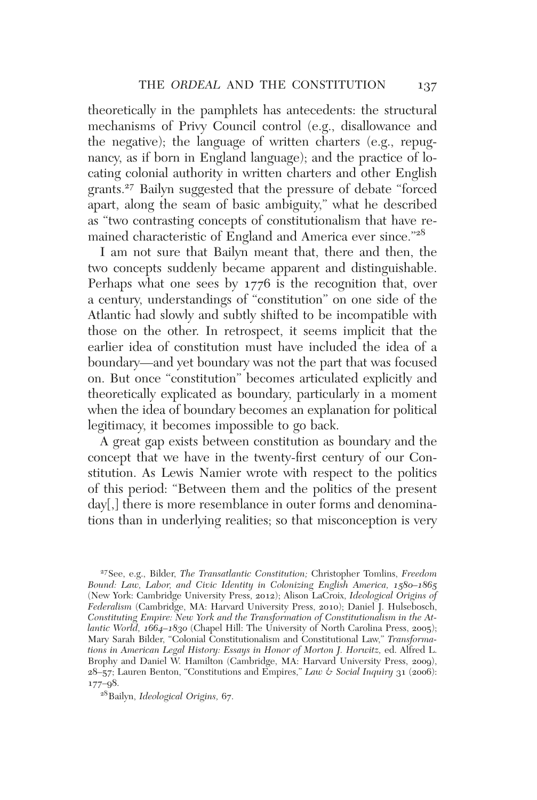theoretically in the pamphlets has antecedents: the structural mechanisms of Privy Council control (e.g., disallowance and the negative); the language of written charters (e.g., repugnancy, as if born in England language); and the practice of locating colonial authority in written charters and other English grants.27 Bailyn suggested that the pressure of debate "forced apart, along the seam of basic ambiguity," what he described as "two contrasting concepts of constitutionalism that have remained characteristic of England and America ever since."<sup>28</sup>

I am not sure that Bailyn meant that, there and then, the two concepts suddenly became apparent and distinguishable. Perhaps what one sees by 1776 is the recognition that, over a century, understandings of "constitution" on one side of the Atlantic had slowly and subtly shifted to be incompatible with those on the other. In retrospect, it seems implicit that the earlier idea of constitution must have included the idea of a boundary—and yet boundary was not the part that was focused on. But once "constitution" becomes articulated explicitly and theoretically explicated as boundary, particularly in a moment when the idea of boundary becomes an explanation for political legitimacy, it becomes impossible to go back.

A great gap exists between constitution as boundary and the concept that we have in the twenty-frst century of our Constitution. As Lewis Namier wrote with respect to the politics of this period: "Between them and the politics of the present day[,] there is more resemblance in outer forms and denominations than in underlying realities; so that misconception is very

<sup>27</sup>See, e.g., Bilder, *The Transatlantic Constitution;* Christopher Tomlins, *Freedom Bound: Law, Labor, and Civic Identity in Colonizing English America, 1580–1865* (New York: Cambridge University Press, 2012); Alison LaCroix, *Ideological Origins of Federalism* (Cambridge, MA: Harvard University Press, 2010); Daniel J. Hulsebosch, *Constituting Empire: New York and the Transformation of Constitutionalism in the Atlantic World, 1664–1830* (Chapel Hill: The University of North Carolina Press, 2005); Mary Sarah Bilder, "Colonial Constitutionalism and Constitutional Law," *Transformations in American Legal History: Essays in Honor of Morton J. Horwitz,* ed. Alfred L. Brophy and Daniel W. Hamilton (Cambridge, MA: Harvard University Press, 2009),  $28-57$ ; Lauren Benton, "Constitutions and Empires," *Law & Social Inquiry* 31 (2006): 177–98.

<sup>28</sup>Bailyn, *Ideological Origins,* 67.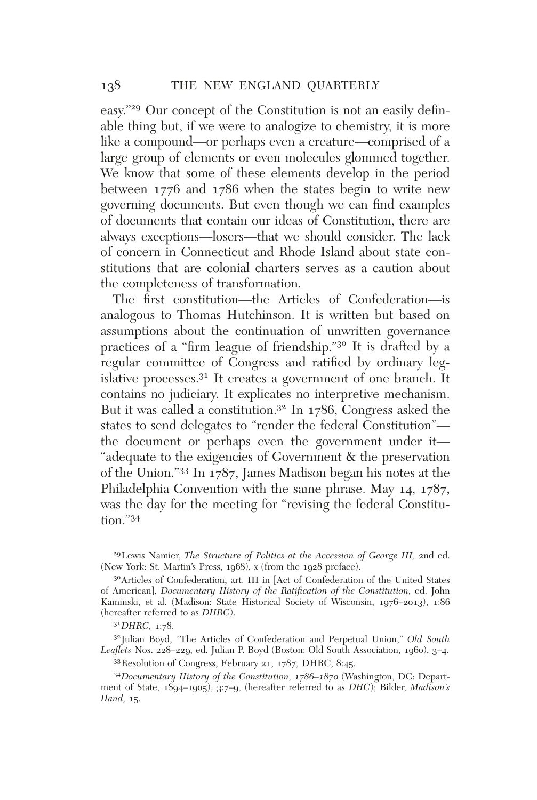easy."<sup>29</sup> Our concept of the Constitution is not an easily defnable thing but, if we were to analogize to chemistry, it is more like a compound—or perhaps even a creature—comprised of a large group of elements or even molecules glommed together. We know that some of these elements develop in the period between 1776 and 1786 when the states begin to write new governing documents. But even though we can fnd examples of documents that contain our ideas of Constitution, there are always exceptions—losers—that we should consider. The lack of concern in Connecticut and Rhode Island about state constitutions that are colonial charters serves as a caution about the completeness of transformation.

The frst constitution—the Articles of Confederation—is analogous to Thomas Hutchinson. It is written but based on assumptions about the continuation of unwritten governance practices of a "frm league of friendship."<sup>30</sup> It is drafted by a regular committee of Congress and ratifed by ordinary legislative processes.31 It creates a government of one branch. It contains no judiciary. It explicates no interpretive mechanism. But it was called a constitution.32 In 1786, Congress asked the states to send delegates to "render the federal Constitution" the document or perhaps even the government under it— "adequate to the exigencies of Government & the preservation of the Union."33 In 1787, James Madison began his notes at the Philadelphia Convention with the same phrase. May 14, 1787, was the day for the meeting for "revising the federal Constitution."34

29Lewis Namier, *The Structure of Politics at the Accession of George III,* 2nd ed. (New York: St. Martin's Press, 1968), x (from the 1928 preface).

30Articles of Confederation, art. III in [Act of Confederation of the United States of American], *Documentary History of the Ratifcation of the Constitution,* ed. John Kaminski, et al. (Madison: State Historical Society of Wisconsin, 1976–2013), 1:86 (hereafter referred to as *DHRC*).

<sup>31</sup>*DHRC,* 1:78.

32Julian Boyd, "The Articles of Confederation and Perpetual Union," *Old South Leafets* Nos. 228–229, ed. Julian P. Boyd (Boston: Old South Association, 1960), 3–4.

33Resolution of Congress, February 21, 1787, DHRC, 8:45.

<sup>34</sup>*Documentary History of the Constitution, 1786–1870* (Washington, DC: Department of State, 1894–1905), 3:7–9, (hereafter referred to as *DHC*); Bilder, *Madison's Hand,* 15.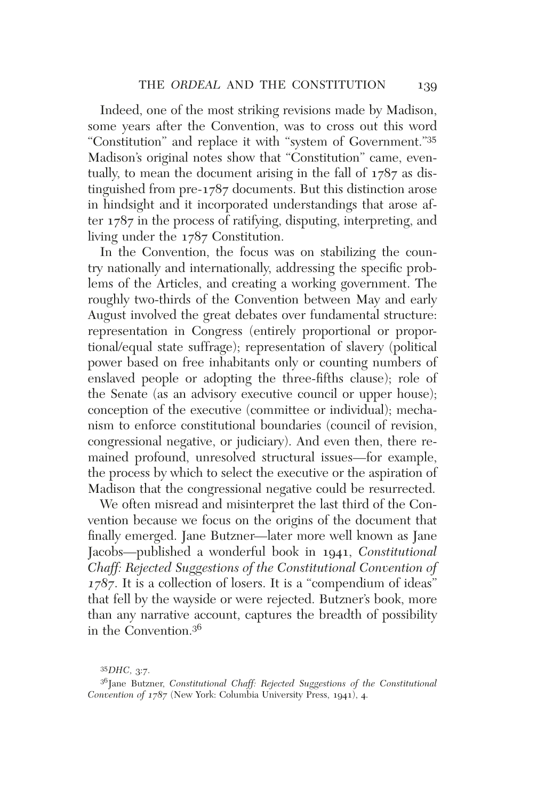Indeed, one of the most striking revisions made by Madison, some years after the Convention, was to cross out this word "Constitution" and replace it with "system of Government."35 Madison's original notes show that "Constitution" came, eventually, to mean the document arising in the fall of 1787 as distinguished from pre-1787 documents. But this distinction arose in hindsight and it incorporated understandings that arose after 1787 in the process of ratifying, disputing, interpreting, and living under the 1787 Constitution.

In the Convention, the focus was on stabilizing the country nationally and internationally, addressing the specifc problems of the Articles, and creating a working government. The roughly two-thirds of the Convention between May and early August involved the great debates over fundamental structure: representation in Congress (entirely proportional or proportional/equal state suffrage); representation of slavery (political power based on free inhabitants only or counting numbers of enslaved people or adopting the three-ffths clause); role of the Senate (as an advisory executive council or upper house); conception of the executive (committee or individual); mechanism to enforce constitutional boundaries (council of revision, congressional negative, or judiciary). And even then, there remained profound, unresolved structural issues—for example, the process by which to select the executive or the aspiration of Madison that the congressional negative could be resurrected.

We often misread and misinterpret the last third of the Convention because we focus on the origins of the document that fnally emerged. Jane Butzner—later more well known as Jane Jacobs—published a wonderful book in 1941, *Constitutional Chaff: Rejected Suggestions of the Constitutional Convention of 1787*. It is a collection of losers. It is a "compendium of ideas" that fell by the wayside or were rejected. Butzner's book, more than any narrative account, captures the breadth of possibility in the Convention.36

<sup>35</sup>*DHC,* 3:7.

<sup>&</sup>lt;sup>36</sup>Jane Butzner, *Constitutional Chaff: Rejected Suggestions of the Constitutional Convention of 1787* (New York: Columbia University Press, 1941), 4.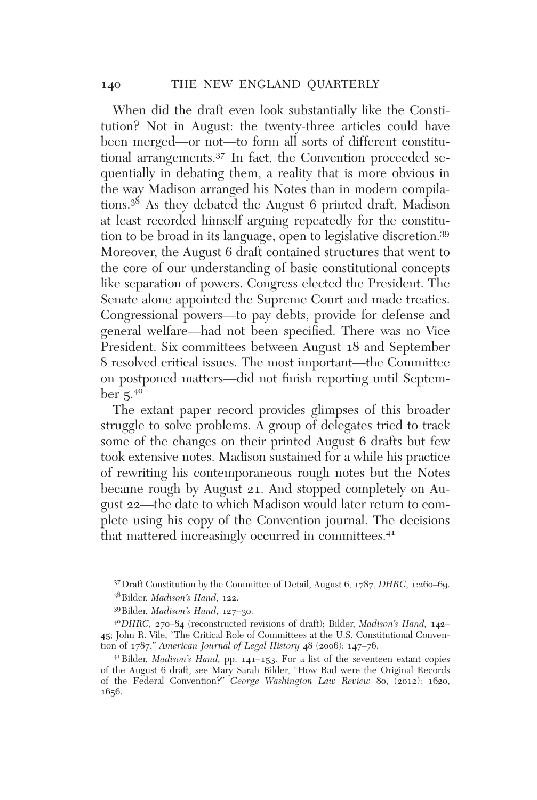When did the draft even look substantially like the Constitution? Not in August: the twenty-three articles could have been merged—or not—to form all sorts of different constitutional arrangements.37 In fact, the Convention proceeded sequentially in debating them, a reality that is more obvious in the way Madison arranged his Notes than in modern compilations.<sup>38</sup> As they debated the August 6 printed draft, Madison at least recorded himself arguing repeatedly for the constitution to be broad in its language, open to legislative discretion.39 Moreover, the August 6 draft contained structures that went to the core of our understanding of basic constitutional concepts like separation of powers. Congress elected the President. The Senate alone appointed the Supreme Court and made treaties. Congressional powers—to pay debts, provide for defense and general welfare—had not been specifed. There was no Vice President. Six committees between August 18 and September 8 resolved critical issues. The most important—the Committee on postponed matters—did not fnish reporting until Septem $ber\overline{5.4^\circ}$ 

The extant paper record provides glimpses of this broader struggle to solve problems. A group of delegates tried to track some of the changes on their printed August 6 drafts but few took extensive notes. Madison sustained for a while his practice of rewriting his contemporaneous rough notes but the Notes became rough by August 21. And stopped completely on August 22—the date to which Madison would later return to complete using his copy of the Convention journal. The decisions that mattered increasingly occurred in committees.<sup>41</sup>

<sup>37</sup>Draft Constitution by the Committee of Detail, August 6, 1787, *DHRC,* 1:260–69. 38Bilder, *Madison's Hand,* 122.

<sup>39</sup>Bilder, *Madison's Hand,* 127–30.

<sup>40</sup>*DHRC,* 270–84 (reconstructed revisions of draft); Bilder, *Madison's Hand,* 142– 45; John R. Vile, "The Critical Role of Committees at the U.S. Constitutional Convention of 1787," *American Journal of Legal History* 48 (2006): 147–76.

<sup>41</sup>Bilder, *Madison's Hand,* pp. 141–153. For a list of the seventeen extant copies of the August 6 draft, see Mary Sarah Bilder, "How Bad were the Original Records of the Federal Convention?" *George Washington Law Review* 80, (2012): 1620, 1656.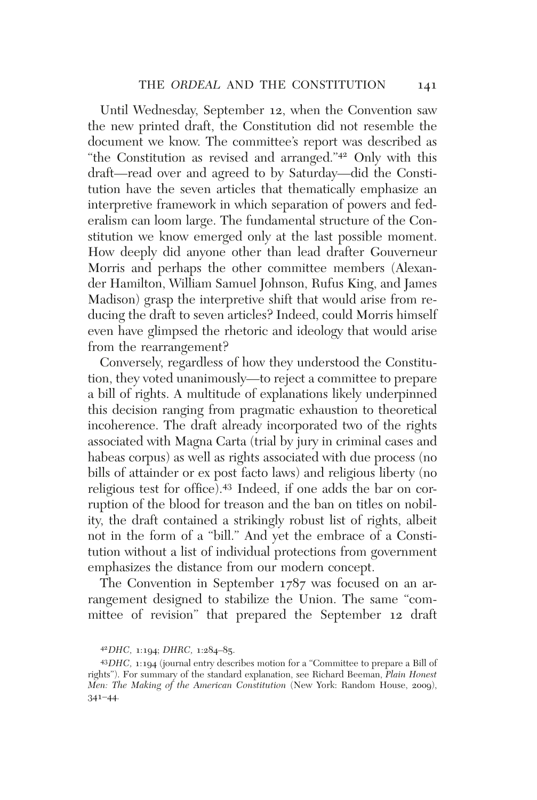Until Wednesday, September 12, when the Convention saw the new printed draft, the Constitution did not resemble the document we know. The committee's report was described as "the Constitution as revised and arranged."<sup>42</sup> Only with this draft—read over and agreed to by Saturday—did the Constitution have the seven articles that thematically emphasize an interpretive framework in which separation of powers and federalism can loom large. The fundamental structure of the Constitution we know emerged only at the last possible moment. How deeply did anyone other than lead drafter Gouverneur Morris and perhaps the other committee members (Alexander Hamilton, William Samuel Johnson, Rufus King, and James Madison) grasp the interpretive shift that would arise from reducing the draft to seven articles? Indeed, could Morris himself even have glimpsed the rhetoric and ideology that would arise from the rearrangement?

Conversely, regardless of how they understood the Constitution, they voted unanimously—to reject a committee to prepare a bill of rights. A multitude of explanations likely underpinned this decision ranging from pragmatic exhaustion to theoretical incoherence. The draft already incorporated two of the rights associated with Magna Carta (trial by jury in criminal cases and habeas corpus) as well as rights associated with due process (no bills of attainder or ex post facto laws) and religious liberty (no religious test for office).<sup>43</sup> Indeed, if one adds the bar on corruption of the blood for treason and the ban on titles on nobility, the draft contained a strikingly robust list of rights, albeit not in the form of a "bill." And yet the embrace of a Constitution without a list of individual protections from government emphasizes the distance from our modern concept.

The Convention in September 1787 was focused on an arrangement designed to stabilize the Union. The same "committee of revision" that prepared the September 12 draft

<sup>42</sup>*DHC,* 1:194; *DHRC,* 1:284–85.

<sup>43</sup>*DHC,* 1:194 (journal entry describes motion for a "Committee to prepare a Bill of rights"). For summary of the standard explanation, see Richard Beeman, *Plain Honest Men: The Making of the American Constitution* (New York: Random House, 2009), 341–44.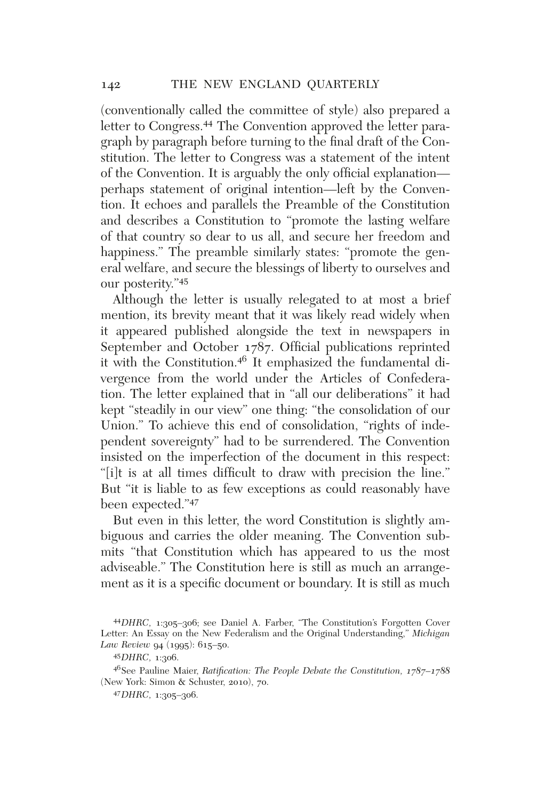(conventionally called the committee of style) also prepared a letter to Congress.44 The Convention approved the letter paragraph by paragraph before turning to the fnal draft of the Constitution. The letter to Congress was a statement of the intent of the Convention. It is arguably the only official explanation perhaps statement of original intention—left by the Convention. It echoes and parallels the Preamble of the Constitution and describes a Constitution to "promote the lasting welfare of that country so dear to us all, and secure her freedom and happiness." The preamble similarly states: "promote the general welfare, and secure the blessings of liberty to ourselves and our posterity."45

Although the letter is usually relegated to at most a brief mention, its brevity meant that it was likely read widely when it appeared published alongside the text in newspapers in September and October 1787. Official publications reprinted it with the Constitution.<sup>46</sup> It emphasized the fundamental divergence from the world under the Articles of Confederation. The letter explained that in "all our deliberations" it had kept "steadily in our view" one thing: "the consolidation of our Union." To achieve this end of consolidation, "rights of independent sovereignty" had to be surrendered. The Convention insisted on the imperfection of the document in this respect: "[i]t is at all times diffcult to draw with precision the line." But "it is liable to as few exceptions as could reasonably have been expected."<sup>47</sup>

But even in this letter, the word Constitution is slightly ambiguous and carries the older meaning. The Convention submits "that Constitution which has appeared to us the most adviseable." The Constitution here is still as much an arrangement as it is a specifc document or boundary. It is still as much

<sup>44</sup>*DHRC,* 1:305–306; see Daniel A. Farber, "The Constitution's Forgotten Cover Letter: An Essay on the New Federalism and the Original Understanding," *Michigan Law Review* 94 (1995): 615–50.

<sup>45</sup>*DHRC,* 1:306.

<sup>46</sup>See Pauline Maier, *Ratifcation: The People Debate the Constitution, 1787–1788* (New York: Simon & Schuster, 2010), 70.

<sup>47</sup>*DHRC,* 1:305–306.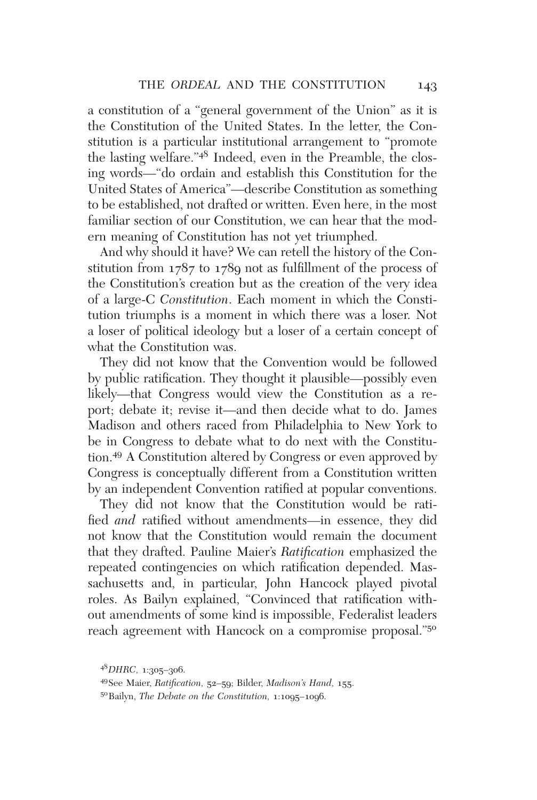a constitution of a "general government of the Union" as it is the Constitution of the United States. In the letter, the Constitution is a particular institutional arrangement to "promote the lasting welfare."<sup>48</sup> Indeed, even in the Preamble, the closing words—"do ordain and establish this Constitution for the United States of America"—describe Constitution as something to be established, not drafted or written. Even here, in the most familiar section of our Constitution, we can hear that the modern meaning of Constitution has not yet triumphed.

And why should it have? We can retell the history of the Constitution from 1787 to 1789 not as fulfllment of the process of the Constitution's creation but as the creation of the very idea of a large-C *Constitution*. Each moment in which the Constitution triumphs is a moment in which there was a loser. Not a loser of political ideology but a loser of a certain concept of what the Constitution was.

They did not know that the Convention would be followed by public ratifcation. They thought it plausible—possibly even likely—that Congress would view the Constitution as a report; debate it; revise it—and then decide what to do. James Madison and others raced from Philadelphia to New York to be in Congress to debate what to do next with the Constitution.49 A Constitution altered by Congress or even approved by Congress is conceptually different from a Constitution written by an independent Convention ratifed at popular conventions.

They did not know that the Constitution would be ratifed *and* ratifed without amendments—in essence, they did not know that the Constitution would remain the document that they drafted. Pauline Maier's *Ratifcation* emphasized the repeated contingencies on which ratifcation depended. Massachusetts and, in particular, John Hancock played pivotal roles. As Bailyn explained, "Convinced that ratifcation without amendments of some kind is impossible, Federalist leaders reach agreement with Hancock on a compromise proposal."50

<sup>48</sup>*DHRC,* 1:305–306.

<sup>49</sup>See Maier, *Ratifcation,* 52–59; Bilder, *Madison's Hand,* 155.

<sup>50</sup>Bailyn, *The Debate on the Constitution,* 1:1095–1096.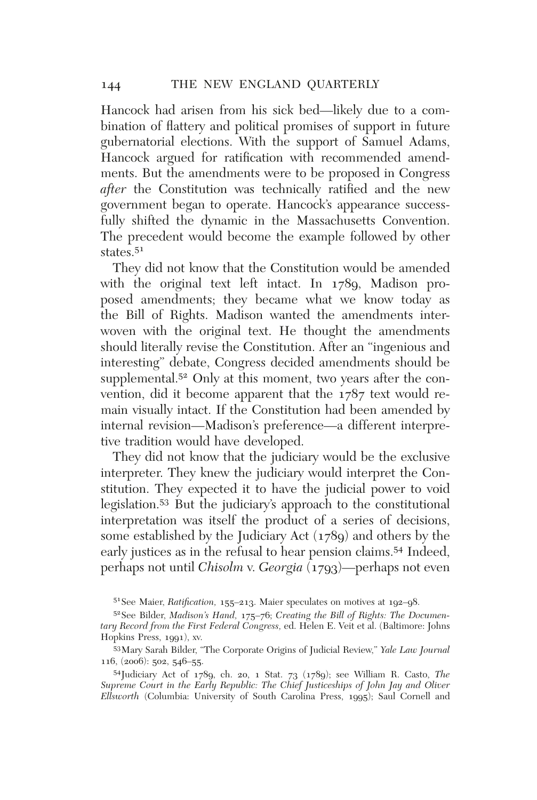Hancock had arisen from his sick bed—likely due to a combination of fattery and political promises of support in future gubernatorial elections. With the support of Samuel Adams, Hancock argued for ratifcation with recommended amendments. But the amendments were to be proposed in Congress *after* the Constitution was technically ratifed and the new government began to operate. Hancock's appearance successfully shifted the dynamic in the Massachusetts Convention. The precedent would become the example followed by other states.<sup>51</sup>

They did not know that the Constitution would be amended with the original text left intact. In 1789, Madison proposed amendments; they became what we know today as the Bill of Rights. Madison wanted the amendments interwoven with the original text. He thought the amendments should literally revise the Constitution. After an "ingenious and interesting" debate, Congress decided amendments should be supplemental.<sup>52</sup> Only at this moment, two years after the convention, did it become apparent that the 1787 text would remain visually intact. If the Constitution had been amended by internal revision—Madison's preference—a different interpretive tradition would have developed.

They did not know that the judiciary would be the exclusive interpreter. They knew the judiciary would interpret the Constitution. They expected it to have the judicial power to void legislation.53 But the judiciary's approach to the constitutional interpretation was itself the product of a series of decisions, some established by the Judiciary Act (1789) and others by the early justices as in the refusal to hear pension claims.54 Indeed, perhaps not until *Chisolm* v. *Georgia* (1793)—perhaps not even

<sup>51</sup>See Maier, *Ratifcation,* 155–213. Maier speculates on motives at 192–98.

<sup>52</sup>See Bilder, *Madison's Hand,* 175–76; *Creating the Bill of Rights: The Documentary Record from the First Federal Congress,* ed. Helen E. Veit et al. (Baltimore: Johns Hopkins Press, 1991), xv.

<sup>53</sup>Mary Sarah Bilder, "The Corporate Origins of Judicial Review," *Yale Law Journal* 116, (2006): 502, 546–55.

<sup>54</sup>Judiciary Act of 1789, ch. 20, 1 Stat. 73 (1789); see William R. Casto, *The Supreme Court in the Early Republic: The Chief Justiceships of John Jay and Oliver Ellsworth* (Columbia: University of South Carolina Press, 1995); Saul Cornell and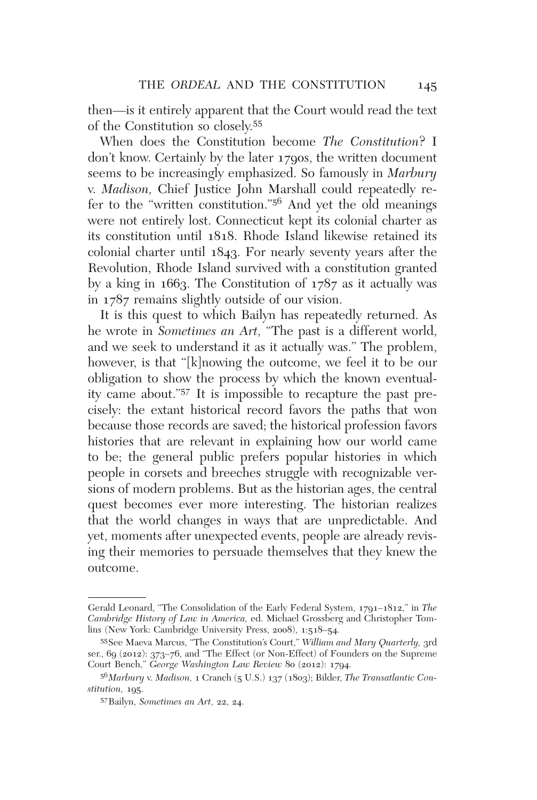then—is it entirely apparent that the Court would read the text of the Constitution so closely.<sup>55</sup>

When does the Constitution become *The Constitution*? I don't know. Certainly by the later 1790s, the written document seems to be increasingly emphasized. So famously in *Marbury* v. *Madison,* Chief Justice John Marshall could repeatedly refer to the "written constitution."56 And yet the old meanings were not entirely lost. Connecticut kept its colonial charter as its constitution until 1818. Rhode Island likewise retained its colonial charter until 1843. For nearly seventy years after the Revolution, Rhode Island survived with a constitution granted by a king in 1663. The Constitution of 1787 as it actually was in 1787 remains slightly outside of our vision.

It is this quest to which Bailyn has repeatedly returned. As he wrote in *Sometimes an Art,* "The past is a different world, and we seek to understand it as it actually was." The problem, however, is that "[k]nowing the outcome, we feel it to be our obligation to show the process by which the known eventuality came about."<sup>57</sup> It is impossible to recapture the past precisely: the extant historical record favors the paths that won because those records are saved; the historical profession favors histories that are relevant in explaining how our world came to be; the general public prefers popular histories in which people in corsets and breeches struggle with recognizable versions of modern problems. But as the historian ages, the central quest becomes ever more interesting. The historian realizes that the world changes in ways that are unpredictable. And yet, moments after unexpected events, people are already revising their memories to persuade themselves that they knew the outcome.

Gerald Leonard, "The Consolidation of the Early Federal System, 1791–1812," in *The Cambridge History of Law in America,* ed. Michael Grossberg and Christopher Tomlins (New York: Cambridge University Press, 2008), 1:518–54.

<sup>55</sup>See Maeva Marcus, "The Constitution's Court," *William and Mary Quarterly,* 3rd ser., 69 (2012): 373–76, and "The Effect (or Non-Effect) of Founders on the Supreme Court Bench," *George Washington Law Review* 80 (2012): 1794.

<sup>56</sup>*Marbury* v. *Madison,* 1 Cranch (5 U.S.) 137 (1803); Bilder, *The Transatlantic Constitution,* 195.

<sup>57</sup>Bailyn, *Sometimes an Art,* 22, 24.